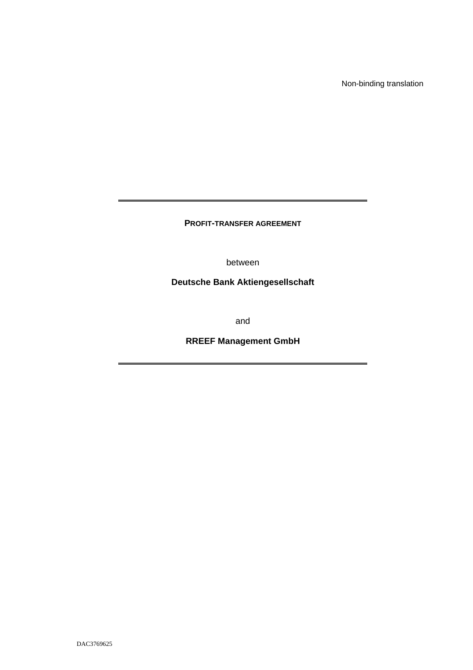Non-binding translation

**PROFIT-TRANSFER AGREEMENT** 

between

**Deutsche Bank Aktiengesellschaft** 

and

**RREEF Management GmbH**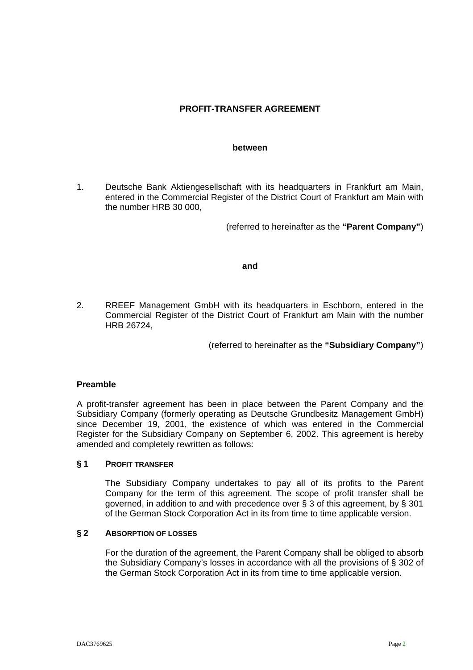# **PROFIT-TRANSFER AGREEMENT**

#### **between**

1. Deutsche Bank Aktiengesellschaft with its headquarters in Frankfurt am Main, entered in the Commercial Register of the District Court of Frankfurt am Main with the number HRB 30 000,

(referred to hereinafter as the **"Parent Company"**)

#### **and**

2. RREEF Management GmbH with its headquarters in Eschborn, entered in the Commercial Register of the District Court of Frankfurt am Main with the number HRB 26724,

(referred to hereinafter as the **"Subsidiary Company"**)

## **Preamble**

A profit-transfer agreement has been in place between the Parent Company and the Subsidiary Company (formerly operating as Deutsche Grundbesitz Management GmbH) since December 19, 2001, the existence of which was entered in the Commercial Register for the Subsidiary Company on September 6, 2002. This agreement is hereby amended and completely rewritten as follows:

#### **§ 1 PROFIT TRANSFER**

 The Subsidiary Company undertakes to pay all of its profits to the Parent Company for the term of this agreement. The scope of profit transfer shall be governed, in addition to and with precedence over § 3 of this agreement, by § 301 of the German Stock Corporation Act in its from time to time applicable version.

### **§ 2 ABSORPTION OF LOSSES**

 For the duration of the agreement, the Parent Company shall be obliged to absorb the Subsidiary Company's losses in accordance with all the provisions of § 302 of the German Stock Corporation Act in its from time to time applicable version.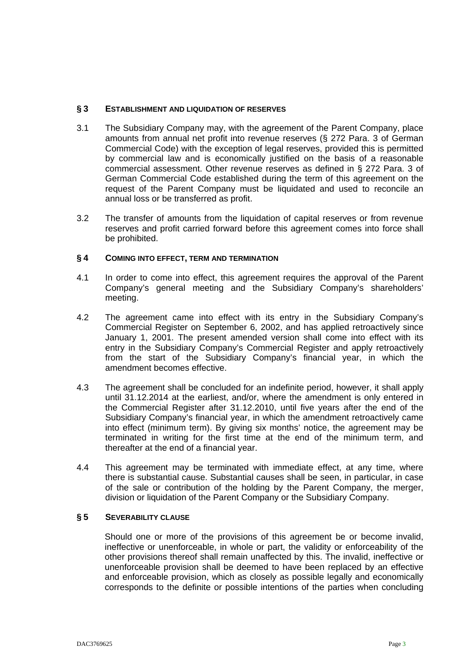### **§ 3 ESTABLISHMENT AND LIQUIDATION OF RESERVES**

- 3.1 The Subsidiary Company may, with the agreement of the Parent Company, place amounts from annual net profit into revenue reserves (§ 272 Para. 3 of German Commercial Code) with the exception of legal reserves, provided this is permitted by commercial law and is economically justified on the basis of a reasonable commercial assessment. Other revenue reserves as defined in § 272 Para. 3 of German Commercial Code established during the term of this agreement on the request of the Parent Company must be liquidated and used to reconcile an annual loss or be transferred as profit.
- 3.2 The transfer of amounts from the liquidation of capital reserves or from revenue reserves and profit carried forward before this agreement comes into force shall be prohibited.

### **§ 4 COMING INTO EFFECT, TERM AND TERMINATION**

- 4.1 In order to come into effect, this agreement requires the approval of the Parent Company's general meeting and the Subsidiary Company's shareholders' meeting.
- 4.2 The agreement came into effect with its entry in the Subsidiary Company's Commercial Register on September 6, 2002, and has applied retroactively since January 1, 2001. The present amended version shall come into effect with its entry in the Subsidiary Company's Commercial Register and apply retroactively from the start of the Subsidiary Company's financial year, in which the amendment becomes effective.
- 4.3 The agreement shall be concluded for an indefinite period, however, it shall apply until 31.12.2014 at the earliest, and/or, where the amendment is only entered in the Commercial Register after 31.12.2010, until five years after the end of the Subsidiary Company's financial year, in which the amendment retroactively came into effect (minimum term). By giving six months' notice, the agreement may be terminated in writing for the first time at the end of the minimum term, and thereafter at the end of a financial year.
- 4.4 This agreement may be terminated with immediate effect, at any time, where there is substantial cause. Substantial causes shall be seen, in particular, in case of the sale or contribution of the holding by the Parent Company, the merger, division or liquidation of the Parent Company or the Subsidiary Company.

### **§ 5 SEVERABILITY CLAUSE**

Should one or more of the provisions of this agreement be or become invalid, ineffective or unenforceable, in whole or part, the validity or enforceability of the other provisions thereof shall remain unaffected by this. The invalid, ineffective or unenforceable provision shall be deemed to have been replaced by an effective and enforceable provision, which as closely as possible legally and economically corresponds to the definite or possible intentions of the parties when concluding